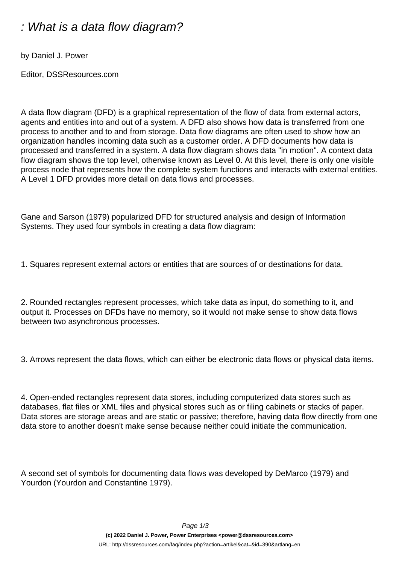## What is a data flow diagram?

by Daniel J. Power

Editor, DSSResources.com

A data flow diagram (DFD) is a graphical representation of the flow of data from external actors, agents and entities into and out of a system. A DFD also shows how data is transferred from one process to another and to and from storage. Data flow diagrams are often used to show how an organization handles incoming data such as a customer order. A DFD documents how data is processed and transferred in a system. A data flow diagram shows data "in motion". A context data flow diagram shows the top level, otherwise known as Level 0. At this level, there is only one visible process node that represents how the complete system functions and interacts with external entities. A Level 1 DFD provides more detail on data flows and processes.

Gane and Sarson (1979) popularized DFD for structured analysis and design of Information Systems. They used four symbols in creating a data flow diagram:

1. Squares represent external actors or entities that are sources of or destinations for data.

2. Rounded rectangles represent processes, which take data as input, do something to it, and output it. Processes on DFDs have no memory, so it would not make sense to show data flows between two asynchronous processes.

3. Arrows represent the data flows, which can either be electronic data flows or physical data items.

4. Open-ended rectangles represent data stores, including computerized data stores such as databases, flat files or XML files and physical stores such as or filing cabinets or stacks of paper. Data stores are storage areas and are static or passive; therefore, having data flow directly from one data store to another doesn't make sense because neither could initiate the communication.

A second set of symbols for documenting data flows was developed by DeMarco (1979) and Yourdon (Yourdon and Constantine 1979).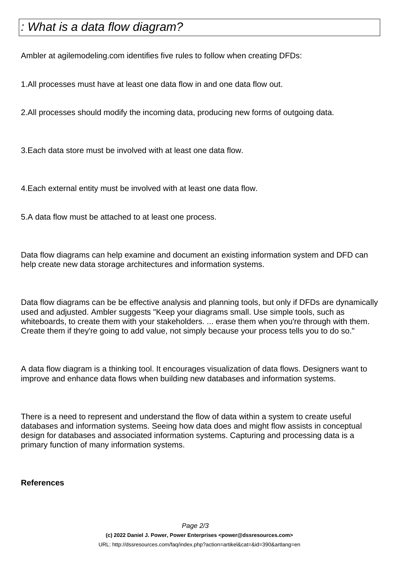## What is a data flow diagram?

Ambler at agilemodeling.com identifies five rules to follow when creating DFDs:

1. All processes must have at least one data flow in and one data flow out.

2. All processes should modify the incoming data, producing new forms of outgoing data.

3. Each data store must be involved with at least one data flow.

4. Each external entity must be involved with at least one data flow.

5. A data flow must be attached to at least one process.

Data flow diagrams can help examine and document an existing information system and DFD can help create new data storage architectures and information systems.

Data flow diagrams can be be effective analysis and planning tools, but only if DFDs are dynamically used and adjusted. Ambler suggests "Keep your diagrams small. Use simple tools, such as whiteboards, to create them with your stakeholders. ... erase them when you're through with them. Create them if they're going to add value, not simply because your process tells you to do so."

A data flow diagram is a thinking tool. It encourages visualization of data flows. Designers want to improve and enhance data flows when building new databases and information systems.

There is a need to represent and understand the flow of data within a system to create useful databases and information systems. Seeing how data does and might flow assists in conceptual design for databases and associated information systems. Capturing and processing data is a primary function of many information systems.

**References**